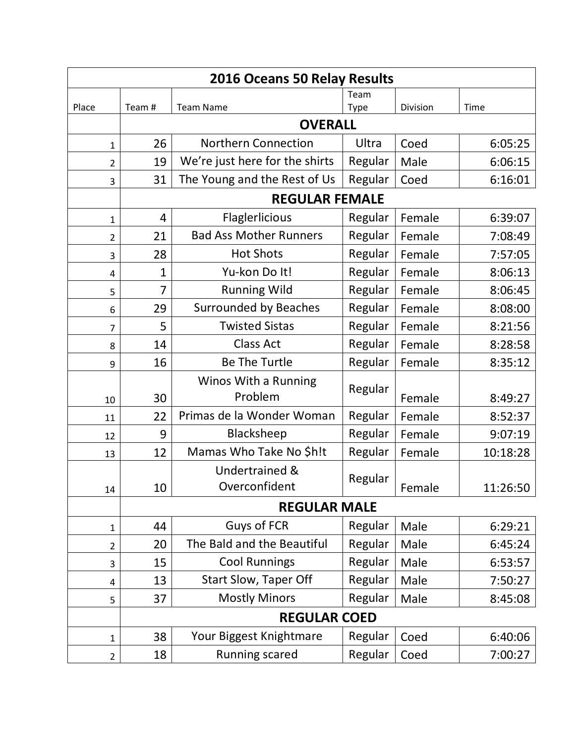| 2016 Oceans 50 Relay Results |                      |                                                                                |         |        |          |  |
|------------------------------|----------------------|--------------------------------------------------------------------------------|---------|--------|----------|--|
|                              |                      |                                                                                | Team    |        |          |  |
| Place                        |                      | Division<br>Team#<br><b>Team Name</b><br>Time<br><b>Type</b><br><b>OVERALL</b> |         |        |          |  |
|                              |                      | <b>Northern Connection</b>                                                     | Ultra   |        |          |  |
| 1                            | 26<br>19             |                                                                                |         | Coed   | 6:05:25  |  |
| 2                            |                      | We're just here for the shirts<br>The Young and the Rest of Us                 | Regular | Male   | 6:06:15  |  |
| 3                            | 31                   |                                                                                | Regular | Coed   | 6:16:01  |  |
|                              |                      | <b>REGULAR FEMALE</b>                                                          |         |        |          |  |
| 1                            | 4                    | Flaglerlicious                                                                 | Regular | Female | 6:39:07  |  |
| $\overline{2}$               | 21                   | <b>Bad Ass Mother Runners</b>                                                  | Regular | Female | 7:08:49  |  |
| 3                            | 28                   | <b>Hot Shots</b>                                                               | Regular | Female | 7:57:05  |  |
| 4                            | 1                    | Yu-kon Do It!                                                                  | Regular | Female | 8:06:13  |  |
| 5                            | 7                    | <b>Running Wild</b>                                                            | Regular | Female | 8:06:45  |  |
| 6                            | 29                   | <b>Surrounded by Beaches</b>                                                   | Regular | Female | 8:08:00  |  |
| $\overline{7}$               | 5                    | <b>Twisted Sistas</b>                                                          |         | Female | 8:21:56  |  |
| 8                            | 14                   | <b>Class Act</b>                                                               | Regular | Female | 8:28:58  |  |
| 9                            | 16                   | <b>Be The Turtle</b>                                                           | Regular | Female | 8:35:12  |  |
|                              | Winos With a Running |                                                                                |         |        |          |  |
| 10                           | 30                   | Problem                                                                        | Regular | Female | 8:49:27  |  |
| 11                           | 22                   | Primas de la Wonder Woman                                                      | Regular | Female | 8:52:37  |  |
| 12                           | 9                    | Blacksheep                                                                     | Regular | Female | 9:07:19  |  |
| 13                           | 12                   | Mamas Who Take No \$h!t                                                        | Regular | Female | 10:18:28 |  |
|                              |                      | Undertrained &                                                                 |         |        |          |  |
| 14                           | 10                   | Overconfident                                                                  | Regular | Female | 11:26:50 |  |
|                              |                      | <b>REGULAR MALE</b>                                                            |         |        |          |  |
| 1                            | 44                   | <b>Guys of FCR</b>                                                             | Regular | Male   | 6:29:21  |  |
| 2                            | 20                   | The Bald and the Beautiful                                                     | Regular | Male   | 6:45:24  |  |
| 3                            | 15                   | <b>Cool Runnings</b>                                                           | Regular | Male   | 6:53:57  |  |
| 4                            | 13                   | <b>Start Slow, Taper Off</b>                                                   | Regular | Male   | 7:50:27  |  |
| 5                            | 37                   | <b>Mostly Minors</b>                                                           | Regular | Male   | 8:45:08  |  |
|                              |                      | <b>REGULAR COED</b>                                                            |         |        |          |  |
| 1                            | 38                   | Your Biggest Knightmare                                                        | Regular | Coed   | 6:40:06  |  |
| $\overline{2}$               | 18                   | <b>Running scared</b>                                                          | Regular | Coed   | 7:00:27  |  |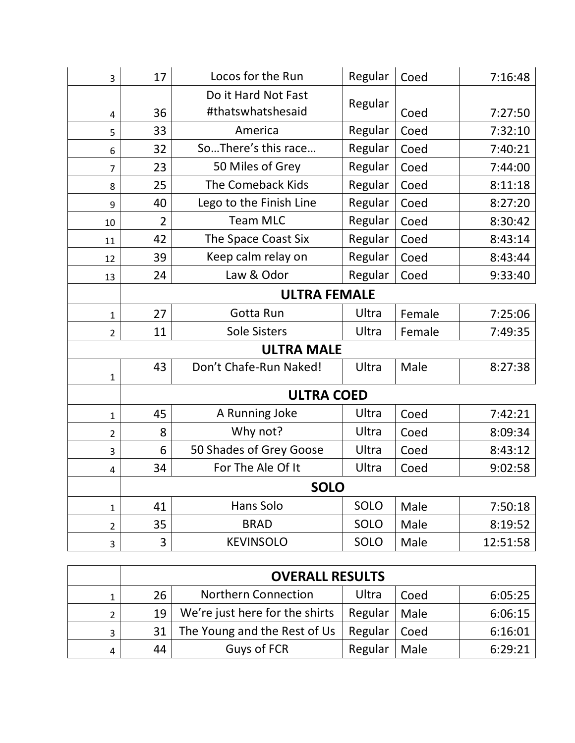| 3                       | 17                  | Locos for the Run                        | Regular | Coed   | 7:16:48  |  |
|-------------------------|---------------------|------------------------------------------|---------|--------|----------|--|
| 4                       | 36                  | Do it Hard Not Fast<br>#thatswhatshesaid | Regular | Coed   | 7:27:50  |  |
| 5                       | 33                  | America                                  | Regular | Coed   | 7:32:10  |  |
| 6                       | 32                  | SoThere's this race                      | Regular | Coed   | 7:40:21  |  |
| $\overline{7}$          | 23                  | 50 Miles of Grey                         | Regular | Coed   | 7:44:00  |  |
| 8                       | 25                  | The Comeback Kids                        | Regular | Coed   | 8:11:18  |  |
| 9                       | 40                  | Lego to the Finish Line                  | Regular | Coed   | 8:27:20  |  |
| 10                      | $\overline{2}$      | <b>Team MLC</b>                          | Regular | Coed   | 8:30:42  |  |
| 11                      | 42                  | The Space Coast Six                      | Regular | Coed   | 8:43:14  |  |
| 12                      | 39                  | Keep calm relay on                       | Regular | Coed   | 8:43:44  |  |
| 13                      | 24                  | Law & Odor                               | Regular | Coed   | 9:33:40  |  |
|                         | <b>ULTRA FEMALE</b> |                                          |         |        |          |  |
| $\mathbf{1}$            | 27                  | Gotta Run                                | Ultra   | Female | 7:25:06  |  |
| $\overline{2}$          | 11                  | <b>Sole Sisters</b>                      | Ultra   | Female | 7:49:35  |  |
|                         | <b>ULTRA MALE</b>   |                                          |         |        |          |  |
| $\mathbf{1}$            | 43                  | Don't Chafe-Run Naked!                   | Ultra   | Male   | 8:27:38  |  |
|                         |                     | <b>ULTRA COED</b>                        |         |        |          |  |
| $\mathbf{1}$            | 45                  | A Running Joke                           | Ultra   | Coed   | 7:42:21  |  |
| $\overline{2}$          | 8                   | Why not?                                 | Ultra   | Coed   | 8:09:34  |  |
| 3                       | 6                   | 50 Shades of Grey Goose                  | Ultra   | Coed   | 8:43:12  |  |
| $\overline{\mathbf{4}}$ | 34                  | For The Ale Of It                        | Ultra   | Coed   | 9:02:58  |  |
|                         | <b>SOLO</b>         |                                          |         |        |          |  |
| $\mathbf{1}$            | 41                  | Hans Solo                                | SOLO    | Male   | 7:50:18  |  |
| $\overline{2}$          | 35                  | <b>BRAD</b>                              | SOLO    | Male   | 8:19:52  |  |
| 3                       | 3                   | <b>KEVINSOLO</b>                         | SOLO    | Male   | 12:51:58 |  |

|                | <b>OVERALL RESULTS</b> |                                |         |      |         |
|----------------|------------------------|--------------------------------|---------|------|---------|
|                | 26                     | <b>Northern Connection</b>     | Ultra   | Coed | 6:05:25 |
| $\overline{2}$ | 19                     | We're just here for the shirts | Regular | Male | 6:06:15 |
| 3              | 31                     | The Young and the Rest of Us   | Regular | Coed | 6:16:01 |
|                | 44                     | Guys of FCR                    | Regular | Male | 6:29:21 |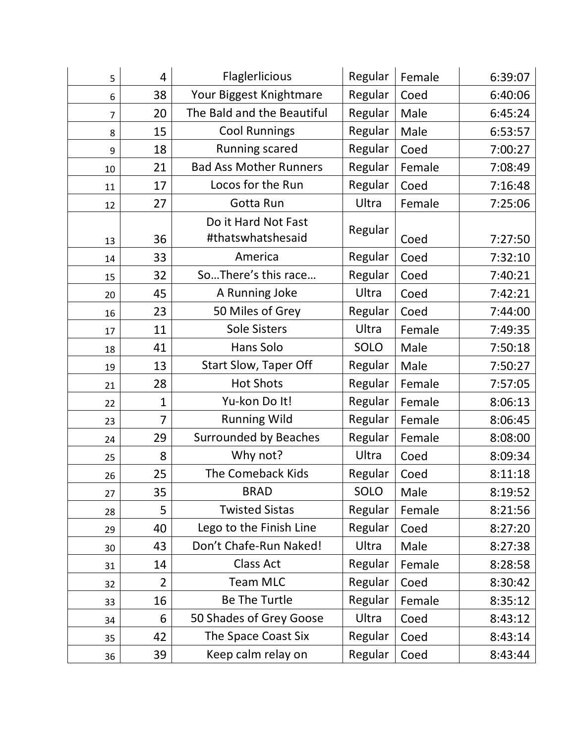| 5              | 4              | Flaglerlicious                             | Regular     | Female | 6:39:07 |
|----------------|----------------|--------------------------------------------|-------------|--------|---------|
| 6              | 38             | Regular<br>Your Biggest Knightmare<br>Coed |             |        | 6:40:06 |
| $\overline{7}$ | 20             | The Bald and the Beautiful                 | Regular     | Male   | 6:45:24 |
| 8              | 15             | <b>Cool Runnings</b>                       | Regular     | Male   | 6:53:57 |
| 9              | 18             | Running scared                             | Regular     | Coed   | 7:00:27 |
| 10             | 21             | <b>Bad Ass Mother Runners</b>              | Regular     | Female | 7:08:49 |
| 11             | 17             | Locos for the Run                          | Regular     | Coed   | 7:16:48 |
| 12             | 27             | Gotta Run                                  | Ultra       | Female | 7:25:06 |
| 13             | 36             | Do it Hard Not Fast<br>#thatswhatshesaid   | Regular     | Coed   | 7:27:50 |
| 14             | 33             | America                                    | Regular     | Coed   | 7:32:10 |
| 15             | 32             | SoThere's this race                        | Regular     | Coed   | 7:40:21 |
| 20             | 45             | A Running Joke                             | Ultra       | Coed   | 7:42:21 |
| 16             | 23             | 50 Miles of Grey                           | Regular     | Coed   | 7:44:00 |
| 17             | 11             | <b>Sole Sisters</b>                        | Ultra       | Female | 7:49:35 |
| 18             | 41             | Hans Solo                                  | SOLO        | Male   | 7:50:18 |
| 19             | 13             | <b>Start Slow, Taper Off</b>               | Regular     | Male   | 7:50:27 |
| 21             | 28             | <b>Hot Shots</b>                           | Regular     | Female | 7:57:05 |
| 22             | 1              | Yu-kon Do It!                              | Regular     | Female | 8:06:13 |
| 23             | 7              | <b>Running Wild</b>                        | Regular     | Female | 8:06:45 |
| 24             | 29             | Surrounded by Beaches                      | Regular     | Female | 8:08:00 |
| 25             | 8              | Why not?                                   | Ultra       | Coed   | 8:09:34 |
| 26             | 25             | The Comeback Kids                          | Regular     | Coed   | 8:11:18 |
| 27             | 35             | <b>BRAD</b>                                | <b>SOLO</b> | Male   | 8:19:52 |
| 28             | 5              | <b>Twisted Sistas</b>                      | Regular     | Female | 8:21:56 |
| 29             | 40             | Lego to the Finish Line                    | Regular     | Coed   | 8:27:20 |
| 30             | 43             | Don't Chafe-Run Naked!                     | Ultra       | Male   | 8:27:38 |
| 31             | 14             | <b>Class Act</b>                           | Regular     | Female | 8:28:58 |
| 32             | $\overline{2}$ | <b>Team MLC</b>                            | Regular     | Coed   | 8:30:42 |
| 33             | 16             | <b>Be The Turtle</b>                       | Regular     | Female | 8:35:12 |
| 34             | 6              | 50 Shades of Grey Goose                    | Ultra       | Coed   | 8:43:12 |
| 35             | 42             | The Space Coast Six                        | Regular     | Coed   | 8:43:14 |
| 36             | 39             | Keep calm relay on                         | Regular     | Coed   | 8:43:44 |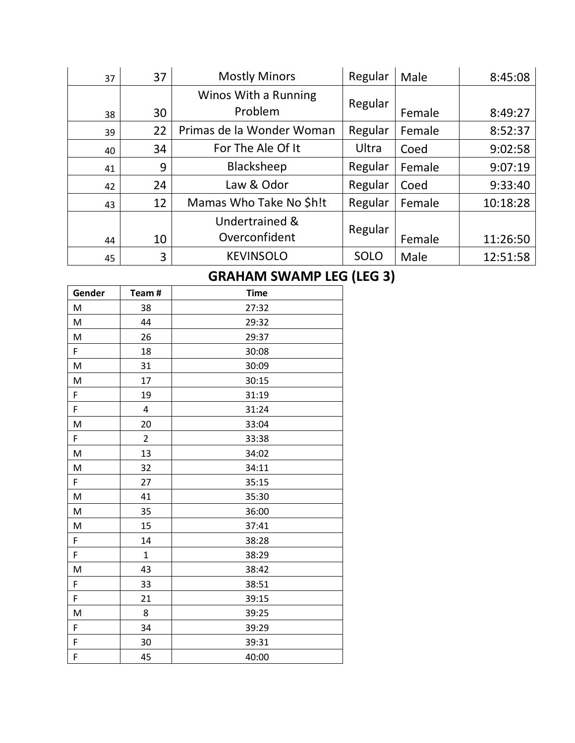| 37 | 37 | <b>Mostly Minors</b>      | Regular     | Male   | 8:45:08  |
|----|----|---------------------------|-------------|--------|----------|
|    |    | Winos With a Running      |             |        |          |
| 38 | 30 | Problem                   | Regular     | Female | 8:49:27  |
| 39 | 22 | Primas de la Wonder Woman | Regular     | Female | 8:52:37  |
| 40 | 34 | For The Ale Of It         | Ultra       | Coed   | 9:02:58  |
| 41 | 9  | Blacksheep                | Regular     | Female | 9:07:19  |
| 42 | 24 | Law & Odor                | Regular     | Coed   | 9:33:40  |
| 43 | 12 | Mamas Who Take No \$h!t   | Regular     | Female | 10:18:28 |
|    |    | Undertrained &            |             |        |          |
| 44 | 10 | Overconfident             | Regular     | Female | 11:26:50 |
| 45 | 3  | <b>KEVINSOLO</b>          | <b>SOLO</b> | Male   | 12:51:58 |

## **GRAHAM SWAMP LEG (LEG 3)**

| Gender | Team#          | <b>Time</b> |
|--------|----------------|-------------|
| M      | 38             | 27:32       |
| M      | 44             | 29:32       |
| M      | 26             | 29:37       |
| F      | 18             | 30:08       |
| M      | 31             | 30:09       |
| M      | 17             | 30:15       |
| F      | 19             | 31:19       |
| F      | 4              | 31:24       |
| M      | 20             | 33:04       |
| F      | $\overline{2}$ | 33:38       |
| M      | 13             | 34:02       |
| M      | 32             | 34:11       |
| F      | 27             | 35:15       |
| M      | 41             | 35:30       |
| M      | 35             | 36:00       |
| M      | 15             | 37:41       |
| F      | 14             | 38:28       |
| F      | $\mathbf{1}$   | 38:29       |
| M      | 43             | 38:42       |
| F      | 33             | 38:51       |
| F      | 21             | 39:15       |
| M      | 8              | 39:25       |
| F      | 34             | 39:29       |
| F      | 30             | 39:31       |
| F      | 45             | 40:00       |